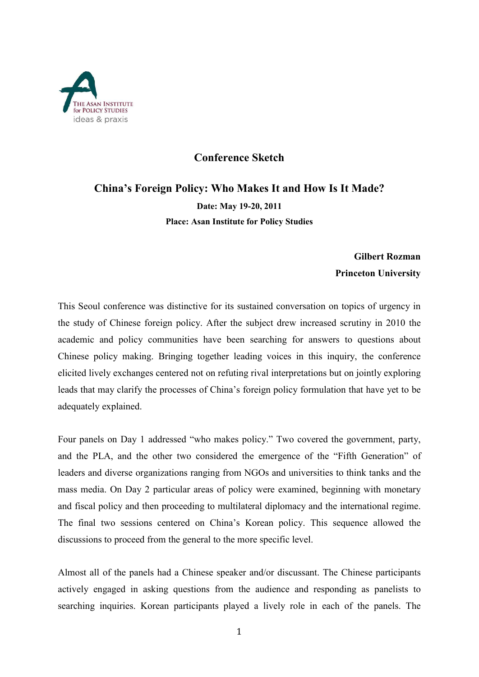

## **Conference Sketch**

## **China's Foreign Policy: Who Makes It and How Is It Made? Date: May 19-20, 2011 Place: Asan Institute for Policy Studies**

## **Gilbert Rozman Princeton University**

This Seoul conference was distinctive for its sustained conversation on topics of urgency in the study of Chinese foreign policy. After the subject drew increased scrutiny in 2010 the academic and policy communities have been searching for answers to questions about Chinese policy making. Bringing together leading voices in this inquiry, the conference elicited lively exchanges centered not on refuting rival interpretations but on jointly exploring leads that may clarify the processes of China's foreign policy formulation that have yet to be adequately explained.

Four panels on Day 1 addressed "who makes policy." Two covered the government, party, and the PLA, and the other two considered the emergence of the "Fifth Generation" of leaders and diverse organizations ranging from NGOs and universities to think tanks and the mass media. On Day 2 particular areas of policy were examined, beginning with monetary and fiscal policy and then proceeding to multilateral diplomacy and the international regime. The final two sessions centered on China's Korean policy. This sequence allowed the discussions to proceed from the general to the more specific level.

Almost all of the panels had a Chinese speaker and/or discussant. The Chinese participants actively engaged in asking questions from the audience and responding as panelists to searching inquiries. Korean participants played a lively role in each of the panels. The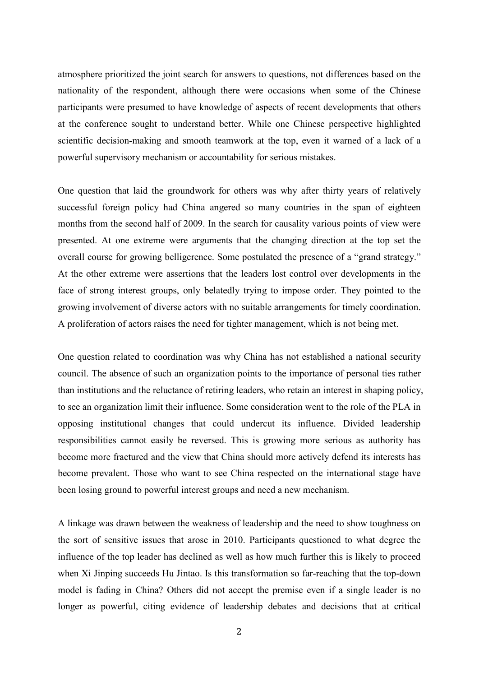atmosphere prioritized the joint search for answers to questions, not differences based on the nationality of the respondent, although there were occasions when some of the Chinese participants were presumed to have knowledge of aspects of recent developments that others at the conference sought to understand better. While one Chinese perspective highlighted scientific decision-making and smooth teamwork at the top, even it warned of a lack of a powerful supervisory mechanism or accountability for serious mistakes.

One question that laid the groundwork for others was why after thirty years of relatively successful foreign policy had China angered so many countries in the span of eighteen months from the second half of 2009. In the search for causality various points of view were presented. At one extreme were arguments that the changing direction at the top set the overall course for growing belligerence. Some postulated the presence of a "grand strategy." At the other extreme were assertions that the leaders lost control over developments in the face of strong interest groups, only belatedly trying to impose order. They pointed to the growing involvement of diverse actors with no suitable arrangements for timely coordination. A proliferation of actors raises the need for tighter management, which is not being met.

One question related to coordination was why China has not established a national security council. The absence of such an organization points to the importance of personal ties rather than institutions and the reluctance of retiring leaders, who retain an interest in shaping policy, to see an organization limit their influence. Some consideration went to the role of the PLA in opposing institutional changes that could undercut its influence. Divided leadership responsibilities cannot easily be reversed. This is growing more serious as authority has become more fractured and the view that China should more actively defend its interests has become prevalent. Those who want to see China respected on the international stage have been losing ground to powerful interest groups and need a new mechanism.

A linkage was drawn between the weakness of leadership and the need to show toughness on the sort of sensitive issues that arose in 2010. Participants questioned to what degree the influence of the top leader has declined as well as how much further this is likely to proceed when Xi Jinping succeeds Hu Jintao. Is this transformation so far-reaching that the top-down model is fading in China? Others did not accept the premise even if a single leader is no longer as powerful, citing evidence of leadership debates and decisions that at critical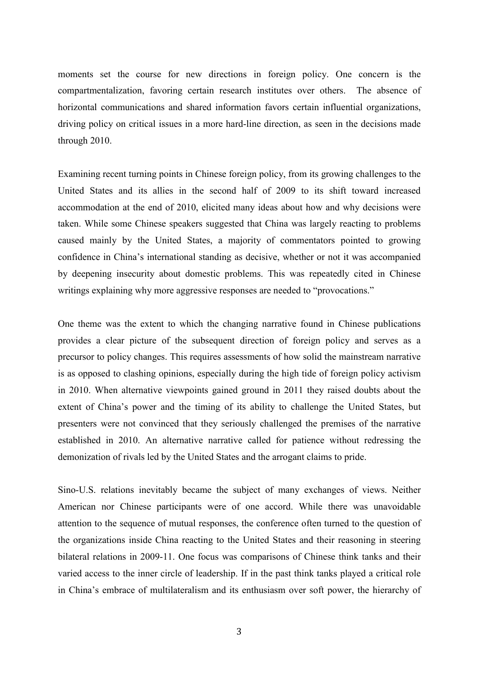moments set the course for new directions in foreign policy. One concern is the compartmentalization, favoring certain research institutes over others. The absence of horizontal communications and shared information favors certain influential organizations, driving policy on critical issues in a more hard-line direction, as seen in the decisions made through 2010.

Examining recent turning points in Chinese foreign policy, from its growing challenges to the United States and its allies in the second half of 2009 to its shift toward increased accommodation at the end of 2010, elicited many ideas about how and why decisions were taken. While some Chinese speakers suggested that China was largely reacting to problems caused mainly by the United States, a majority of commentators pointed to growing confidence in China's international standing as decisive, whether or not it was accompanied by deepening insecurity about domestic problems. This was repeatedly cited in Chinese writings explaining why more aggressive responses are needed to "provocations."

One theme was the extent to which the changing narrative found in Chinese publications provides a clear picture of the subsequent direction of foreign policy and serves as a precursor to policy changes. This requires assessments of how solid the mainstream narrative is as opposed to clashing opinions, especially during the high tide of foreign policy activism in 2010. When alternative viewpoints gained ground in 2011 they raised doubts about the extent of China's power and the timing of its ability to challenge the United States, but presenters were not convinced that they seriously challenged the premises of the narrative established in 2010. An alternative narrative called for patience without redressing the demonization of rivals led by the United States and the arrogant claims to pride.

Sino-U.S. relations inevitably became the subject of many exchanges of views. Neither American nor Chinese participants were of one accord. While there was unavoidable attention to the sequence of mutual responses, the conference often turned to the question of the organizations inside China reacting to the United States and their reasoning in steering bilateral relations in 2009-11. One focus was comparisons of Chinese think tanks and their varied access to the inner circle of leadership. If in the past think tanks played a critical role in China's embrace of multilateralism and its enthusiasm over soft power, the hierarchy of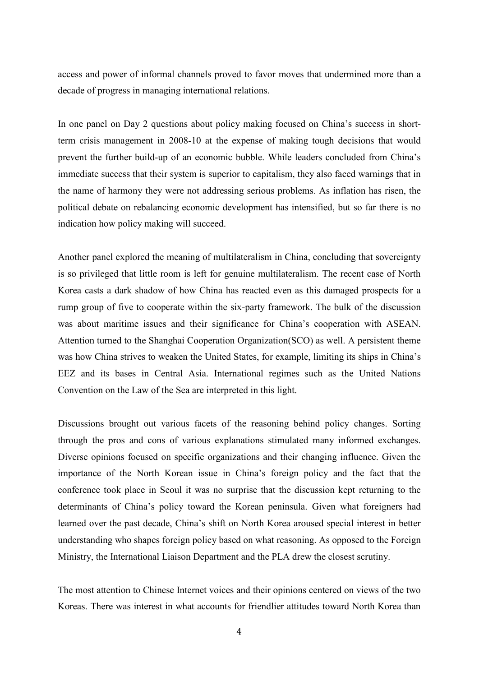access and power of informal channels proved to favor moves that undermined more than a decade of progress in managing international relations.

In one panel on Day 2 questions about policy making focused on China's success in shortterm crisis management in 2008-10 at the expense of making tough decisions that would prevent the further build-up of an economic bubble. While leaders concluded from China's immediate success that their system is superior to capitalism, they also faced warnings that in the name of harmony they were not addressing serious problems. As inflation has risen, the political debate on rebalancing economic development has intensified, but so far there is no indication how policy making will succeed.

Another panel explored the meaning of multilateralism in China, concluding that sovereignty is so privileged that little room is left for genuine multilateralism. The recent case of North Korea casts a dark shadow of how China has reacted even as this damaged prospects for a rump group of five to cooperate within the six-party framework. The bulk of the discussion was about maritime issues and their significance for China's cooperation with ASEAN. Attention turned to the Shanghai Cooperation Organization(SCO) as well. A persistent theme was how China strives to weaken the United States, for example, limiting its ships in China's EEZ and its bases in Central Asia. International regimes such as the United Nations Convention on the Law of the Sea are interpreted in this light.

Discussions brought out various facets of the reasoning behind policy changes. Sorting through the pros and cons of various explanations stimulated many informed exchanges. Diverse opinions focused on specific organizations and their changing influence. Given the importance of the North Korean issue in China's foreign policy and the fact that the conference took place in Seoul it was no surprise that the discussion kept returning to the determinants of China's policy toward the Korean peninsula. Given what foreigners had learned over the past decade, China's shift on North Korea aroused special interest in better understanding who shapes foreign policy based on what reasoning. As opposed to the Foreign Ministry, the International Liaison Department and the PLA drew the closest scrutiny.

The most attention to Chinese Internet voices and their opinions centered on views of the two Koreas. There was interest in what accounts for friendlier attitudes toward North Korea than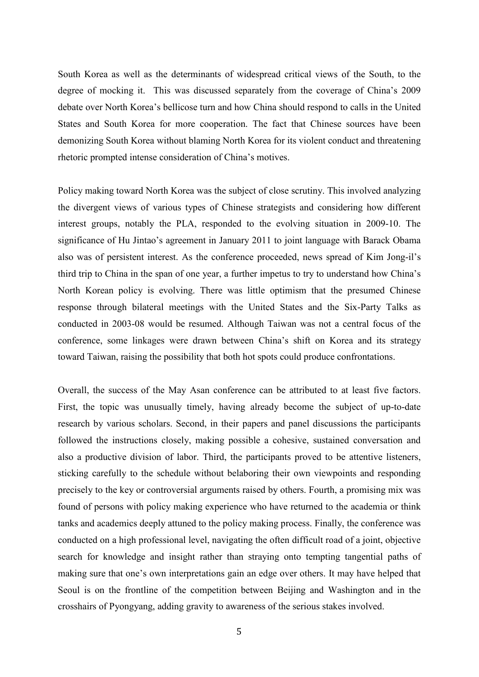South Korea as well as the determinants of widespread critical views of the South, to the degree of mocking it. This was discussed separately from the coverage of China's 2009 debate over North Korea's bellicose turn and how China should respond to calls in the United States and South Korea for more cooperation. The fact that Chinese sources have been demonizing South Korea without blaming North Korea for its violent conduct and threatening rhetoric prompted intense consideration of China's motives.

Policy making toward North Korea was the subject of close scrutiny. This involved analyzing the divergent views of various types of Chinese strategists and considering how different interest groups, notably the PLA, responded to the evolving situation in 2009-10. The significance of Hu Jintao's agreement in January 2011 to joint language with Barack Obama also was of persistent interest. As the conference proceeded, news spread of Kim Jong-il's third trip to China in the span of one year, a further impetus to try to understand how China's North Korean policy is evolving. There was little optimism that the presumed Chinese response through bilateral meetings with the United States and the Six-Party Talks as conducted in 2003-08 would be resumed. Although Taiwan was not a central focus of the conference, some linkages were drawn between China's shift on Korea and its strategy toward Taiwan, raising the possibility that both hot spots could produce confrontations.

Overall, the success of the May Asan conference can be attributed to at least five factors. First, the topic was unusually timely, having already become the subject of up-to-date research by various scholars. Second, in their papers and panel discussions the participants followed the instructions closely, making possible a cohesive, sustained conversation and also a productive division of labor. Third, the participants proved to be attentive listeners, sticking carefully to the schedule without belaboring their own viewpoints and responding precisely to the key or controversial arguments raised by others. Fourth, a promising mix was found of persons with policy making experience who have returned to the academia or think tanks and academics deeply attuned to the policy making process. Finally, the conference was conducted on a high professional level, navigating the often difficult road of a joint, objective search for knowledge and insight rather than straying onto tempting tangential paths of making sure that one's own interpretations gain an edge over others. It may have helped that Seoul is on the frontline of the competition between Beijing and Washington and in the crosshairs of Pyongyang, adding gravity to awareness of the serious stakes involved.